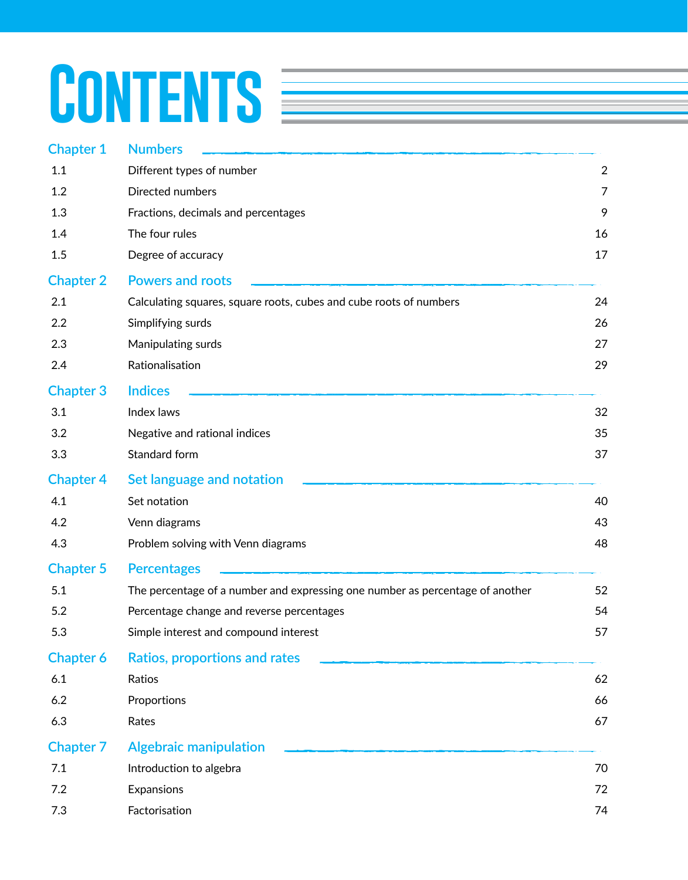# CONTENTS **EXECUTE**

| <b>Chapter 1</b> | <b>Numbers</b>                                                                |                |
|------------------|-------------------------------------------------------------------------------|----------------|
| 1.1              | Different types of number                                                     | $\overline{2}$ |
| 1.2              | Directed numbers                                                              | 7              |
| 1.3              | Fractions, decimals and percentages                                           | 9              |
| 1.4              | The four rules                                                                | 16             |
| 1.5              | Degree of accuracy                                                            | 17             |
| <b>Chapter 2</b> | <b>Powers and roots</b>                                                       |                |
| 2.1              | Calculating squares, square roots, cubes and cube roots of numbers            | 24             |
| 2.2              | Simplifying surds                                                             | 26             |
| 2.3              | Manipulating surds                                                            | 27             |
| 2.4              | Rationalisation                                                               | 29             |
| <b>Chapter 3</b> | <b>Indices</b>                                                                |                |
| 3.1              | Index laws                                                                    | 32             |
| 3.2              | Negative and rational indices                                                 | 35             |
| 3.3              | Standard form                                                                 | 37             |
| <b>Chapter 4</b> | Set language and notation                                                     |                |
| 4.1              | Set notation                                                                  | 40             |
| 4.2              | Venn diagrams                                                                 | 43             |
| 4.3              | Problem solving with Venn diagrams                                            | 48             |
| <b>Chapter 5</b> | <b>Percentages</b>                                                            |                |
| 5.1              | The percentage of a number and expressing one number as percentage of another | 52             |
| 5.2              | Percentage change and reverse percentages                                     | 54             |
| 5.3              | Simple interest and compound interest                                         | 57             |
| <b>Chapter 6</b> | <b>Ratios, proportions and rates</b>                                          |                |
| 6.1              | Ratios                                                                        | 62             |
| 6.2              | Proportions                                                                   | 66             |
| 6.3              | Rates                                                                         | 67             |
| <b>Chapter 7</b> | <b>Algebraic manipulation</b>                                                 |                |
| 7.1              | Introduction to algebra                                                       | 70             |
| 7.2              | Expansions                                                                    | 72             |
| 7.3              | Factorisation                                                                 | 74             |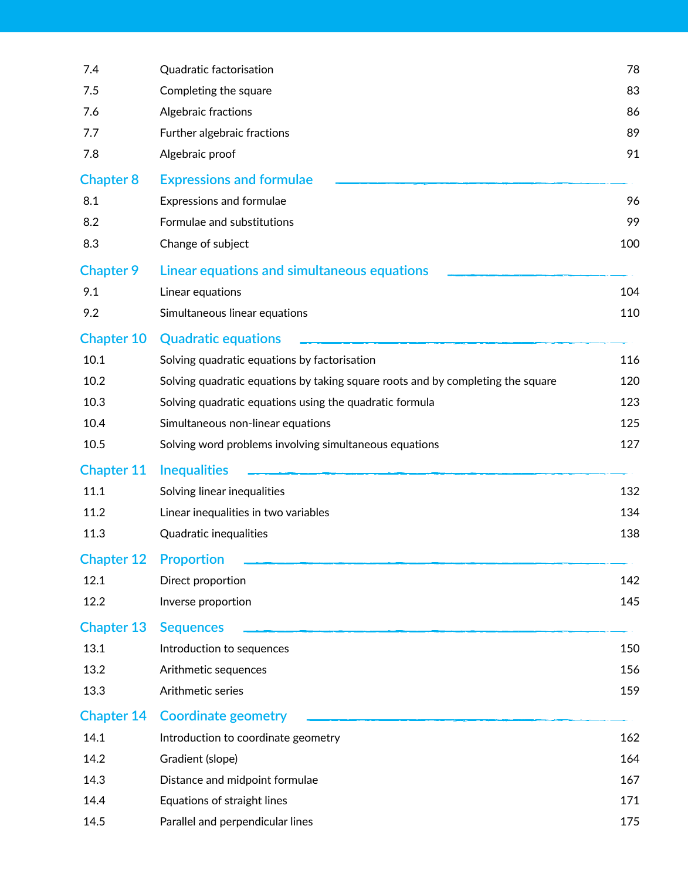| 7.4               | Quadratic factorisation                                                         | 78  |
|-------------------|---------------------------------------------------------------------------------|-----|
| 7.5               | Completing the square                                                           | 83  |
| 7.6               | Algebraic fractions                                                             | 86  |
| 7.7               | Further algebraic fractions                                                     | 89  |
| 7.8               | Algebraic proof                                                                 | 91  |
| <b>Chapter 8</b>  | <b>Expressions and formulae</b>                                                 |     |
| 8.1               | Expressions and formulae                                                        | 96  |
| 8.2               | Formulae and substitutions                                                      | 99  |
| 8.3               | Change of subject                                                               | 100 |
| <b>Chapter 9</b>  | Linear equations and simultaneous equations                                     |     |
| 9.1               | Linear equations                                                                | 104 |
| 9.2               | Simultaneous linear equations                                                   | 110 |
| <b>Chapter 10</b> | <b>Quadratic equations</b>                                                      |     |
| 10.1              | Solving quadratic equations by factorisation                                    | 116 |
| 10.2              | Solving quadratic equations by taking square roots and by completing the square | 120 |
| 10.3              | Solving quadratic equations using the quadratic formula                         | 123 |
| 10.4              | Simultaneous non-linear equations                                               | 125 |
| 10.5              | Solving word problems involving simultaneous equations                          | 127 |
| <b>Chapter 11</b> | <b>Inequalities</b>                                                             |     |
| 11.1              | Solving linear inequalities                                                     | 132 |
| 11.2              | Linear inequalities in two variables                                            | 134 |
| 11.3              | Quadratic inequalities                                                          | 138 |
| <b>Chapter 12</b> | <b>Proportion</b>                                                               |     |
| 12.1              | Direct proportion                                                               | 142 |
| 12.2              | Inverse proportion                                                              | 145 |
| <b>Chapter 13</b> | <b>Sequences</b>                                                                |     |
| 13.1              | Introduction to sequences                                                       | 150 |
| 13.2              | Arithmetic sequences                                                            | 156 |
| 13.3              | Arithmetic series                                                               | 159 |
| <b>Chapter 14</b> | <b>Coordinate geometry</b>                                                      |     |
| 14.1              | Introduction to coordinate geometry                                             | 162 |
| 14.2              | Gradient (slope)                                                                | 164 |
| 14.3              | Distance and midpoint formulae                                                  | 167 |
| 14.4              | Equations of straight lines                                                     | 171 |
| 14.5              | Parallel and perpendicular lines                                                | 175 |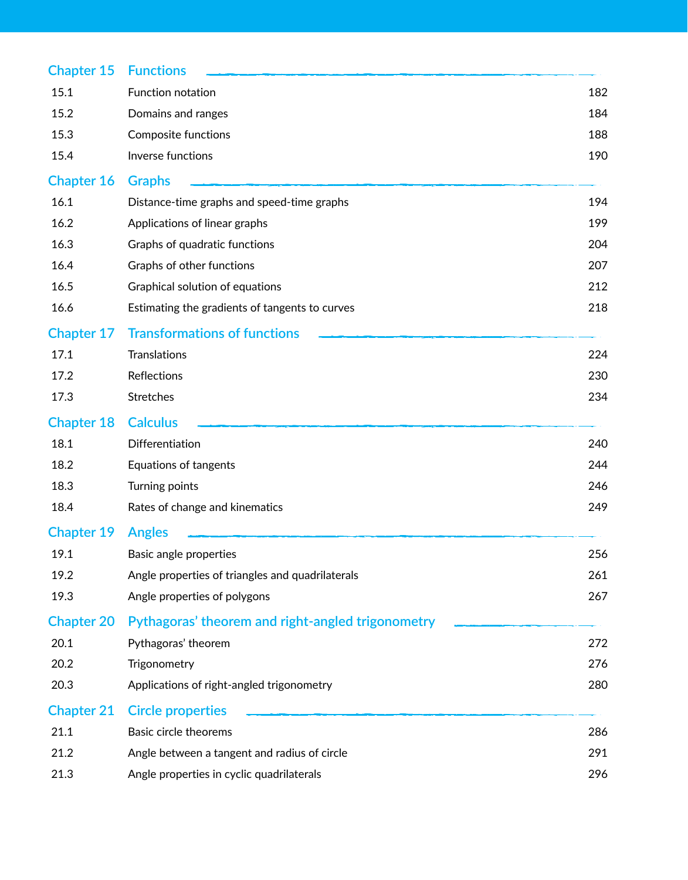| <b>Chapter 15</b> | <b>Functions</b>                                  |     |
|-------------------|---------------------------------------------------|-----|
| 15.1              | Function notation                                 | 182 |
| 15.2              | Domains and ranges                                | 184 |
| 15.3              | Composite functions                               | 188 |
| 15.4              | Inverse functions                                 | 190 |
| <b>Chapter 16</b> | <b>Graphs</b>                                     |     |
| 16.1              | Distance-time graphs and speed-time graphs        | 194 |
| 16.2              | Applications of linear graphs                     | 199 |
| 16.3              | Graphs of quadratic functions                     | 204 |
| 16.4              | Graphs of other functions                         | 207 |
| 16.5              | Graphical solution of equations                   | 212 |
| 16.6              | Estimating the gradients of tangents to curves    | 218 |
| <b>Chapter 17</b> | <b>Transformations of functions</b>               |     |
| 17.1              | <b>Translations</b>                               | 224 |
| 17.2              | Reflections                                       | 230 |
| 17.3              | Stretches                                         | 234 |
| <b>Chapter 18</b> | <b>Calculus</b>                                   |     |
| 18.1              | Differentiation                                   | 240 |
| 18.2              | Equations of tangents                             | 244 |
| 18.3              | Turning points                                    | 246 |
| 18.4              | Rates of change and kinematics                    | 249 |
| <b>Chapter 19</b> | <b>Angles</b>                                     |     |
| 19.1              | Basic angle properties                            | 256 |
| 19.2              | Angle properties of triangles and quadrilaterals  | 261 |
| 19.3              | Angle properties of polygons                      | 267 |
| <b>Chapter 20</b> | Pythagoras' theorem and right-angled trigonometry |     |
| 20.1              | Pythagoras' theorem                               | 272 |
| 20.2              | Trigonometry                                      | 276 |
| 20.3              | Applications of right-angled trigonometry         | 280 |
| <b>Chapter 21</b> | <b>Circle properties</b>                          |     |
| 21.1              | Basic circle theorems                             | 286 |
| 21.2              | Angle between a tangent and radius of circle      | 291 |
| 21.3              | Angle properties in cyclic quadrilaterals         | 296 |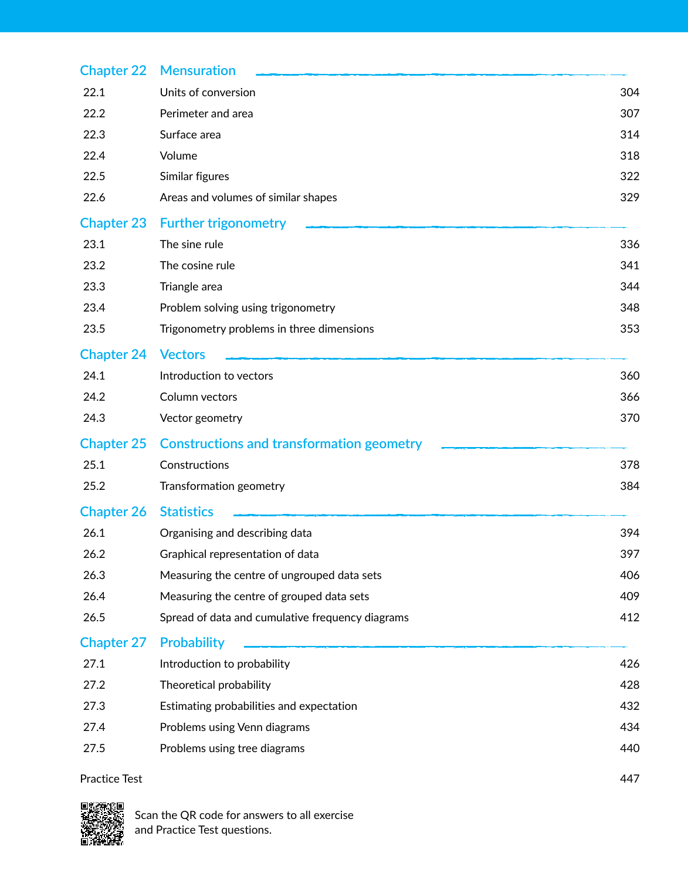| <b>Chapter 22</b> | <b>Mensuration</b>                               |     |
|-------------------|--------------------------------------------------|-----|
| 22.1              | Units of conversion                              | 304 |
| 22.2              | Perimeter and area                               | 307 |
| 22.3              | Surface area                                     | 314 |
| 22.4              | Volume                                           | 318 |
| 22.5              | Similar figures                                  | 322 |
| 22.6              | Areas and volumes of similar shapes              | 329 |
| <b>Chapter 23</b> | <b>Further trigonometry</b>                      |     |
| 23.1              | The sine rule                                    | 336 |
| 23.2              | The cosine rule                                  | 341 |
| 23.3              | Triangle area                                    | 344 |
| 23.4              | Problem solving using trigonometry               | 348 |
| 23.5              | Trigonometry problems in three dimensions        | 353 |
| <b>Chapter 24</b> | <b>Vectors</b>                                   |     |
| 24.1              | Introduction to vectors                          | 360 |
| 24.2              | Column vectors                                   | 366 |
| 24.3              | Vector geometry                                  | 370 |
| <b>Chapter 25</b> | <b>Constructions and transformation geometry</b> |     |
| 25.1              | Constructions                                    | 378 |
| 25.2              | Transformation geometry                          | 384 |
| <b>Chapter 26</b> | <b>Statistics</b>                                |     |
| 26.1              | Organising and describing data                   | 394 |
| 26.2              | Graphical representation of data                 | 397 |
| 26.3              | Measuring the centre of ungrouped data sets      | 406 |
| 26.4              | Measuring the centre of grouped data sets        | 409 |
| 26.5              | Spread of data and cumulative frequency diagrams | 412 |
| <b>Chapter 27</b> | <b>Probability</b>                               |     |
| 27.1              | Introduction to probability                      | 426 |
| 27.2              | Theoretical probability                          | 428 |
| 27.3              | Estimating probabilities and expectation         | 432 |
| 27.4              | Problems using Venn diagrams                     | 434 |
| 27.5              | Problems using tree diagrams                     | 440 |
| Practice Test     |                                                  | 447 |

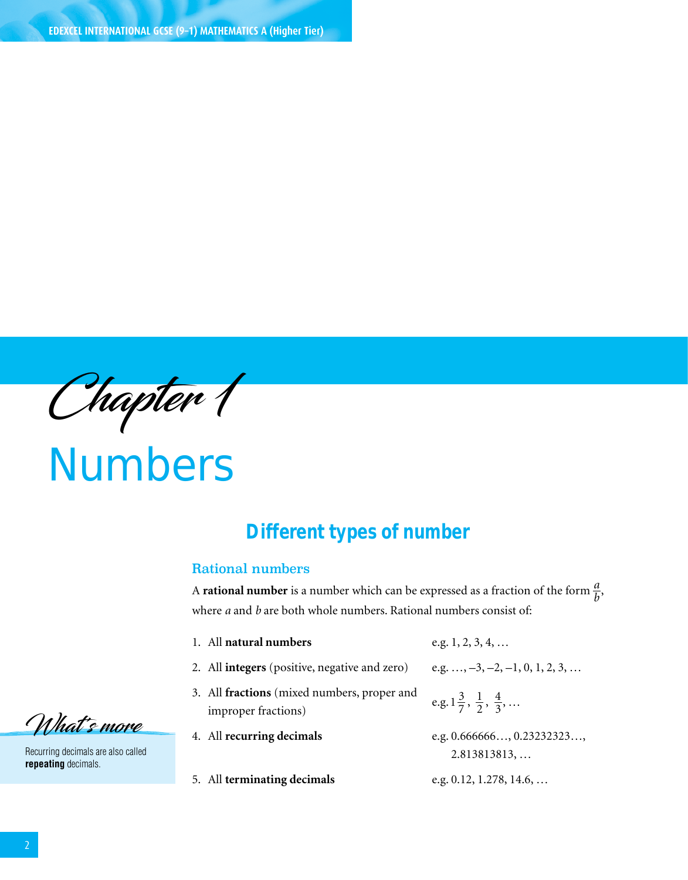Chapter 1

Numbers

# **1.1 Different types of number**

### Rational numbers

A **rational number** is a number which can be expressed as a fraction of the form  $\frac{a}{b}$ , where *a* and *b* are both whole numbers. Rational numbers consist of:

- 1. All **natural numbers** e.g. 1, 2, 3, 4, …
- 
- 2. All **integers** (positive, negative and zero) e.g. ..., −3, −2, −1, 0, 1, 2, 3, ...
- 3. All **fractions** (mixed numbers, proper and  $e.g. 1\frac{3}{7}$ 
	-
- 5. All **terminating decimals** e.g. 0.12, 1.278, 14.6, …
- 
- $\frac{3}{7}, \frac{1}{2}, \frac{4}{3}, \dots$
- 4. All **recurring decimals** e.g. 0.666666…, 0.23232323…,  $2.813813813,...$ 
	-

What's more

Recurring decimals are also called **repeating** decimals.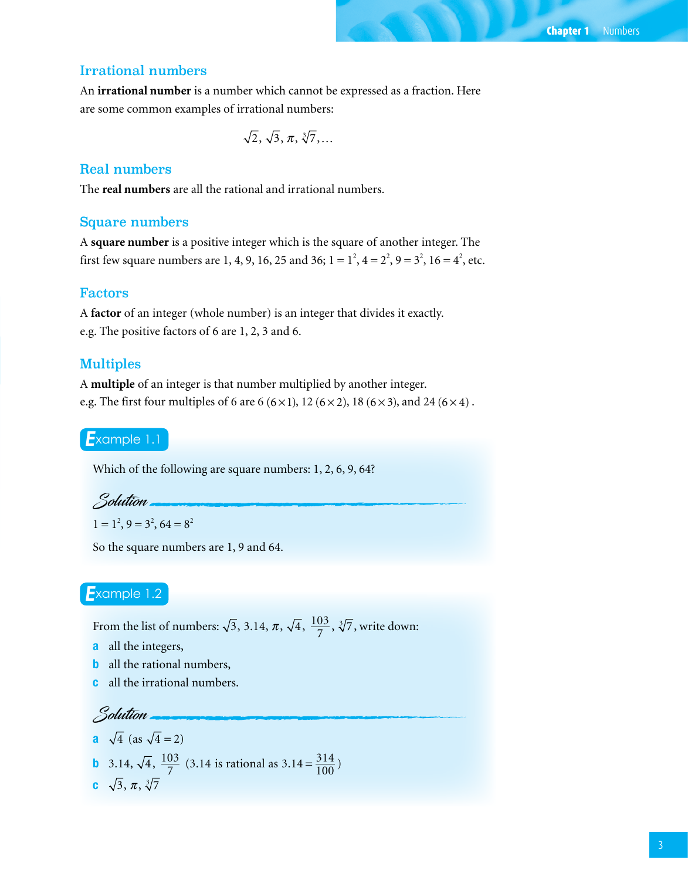# Irrational numbers

An **irrational number** is a number which cannot be expressed as a fraction. Here are some common examples of irrational numbers:

$$
\sqrt{2}, \sqrt{3}, \pi, \sqrt[3]{7}, \ldots
$$

## Real numbers

The **real numbers** are all the rational and irrational numbers.

#### Square numbers

A **square number** is a positive integer which is the square of another integer. The first few square numbers are 1, 4, 9, 16, 25 and 36;  $1 = 1^2$ ,  $4 = 2^2$ ,  $9 = 3^2$ ,  $16 = 4^2$ , etc.

# Factors

A **factor** of an integer (whole number) is an integer that divides it exactly. e.g. The positive factors of 6 are 1, 2, 3 and 6.

#### Multiples

A **multiple** of an integer is that number multiplied by another integer. e.g. The first four multiples of 6 are 6 (6×1), 12 (6×2), 18 (6×3), and 24 (6×4).

# *E*xample 1.1

Which of the following are square numbers: 1, 2, 6, 9, 64?

Solution

$$
1 = 1^2
$$
,  $9 = 3^2$ ,  $64 = 8^2$ 

So the square numbers are 1, 9 and 64.

# *E*xample 1.2

From the list of numbers:  $\sqrt{3}$ , 3.14,  $\pi$ ,  $\sqrt{4}$ ,  $\frac{103}{7}$ ,  $\sqrt[3]{7}$ , write down:

a all the integers,

 $\sqrt{4}$  (as  $\sqrt{4}$  2)

- **b** all the rational numbers,
- c all the irrational numbers.

Solution

**a** 
$$
\sqrt{4}
$$
 (as  $\sqrt{4} = 2$ )  
\n**b** 3.14,  $\sqrt{4}$ ,  $\frac{103}{7}$  (3.14 is rational as 3.14 =  $\frac{314}{100}$ )  
\n**c**  $\sqrt{3}$ ,  $\pi$ ,  $\sqrt[3]{7}$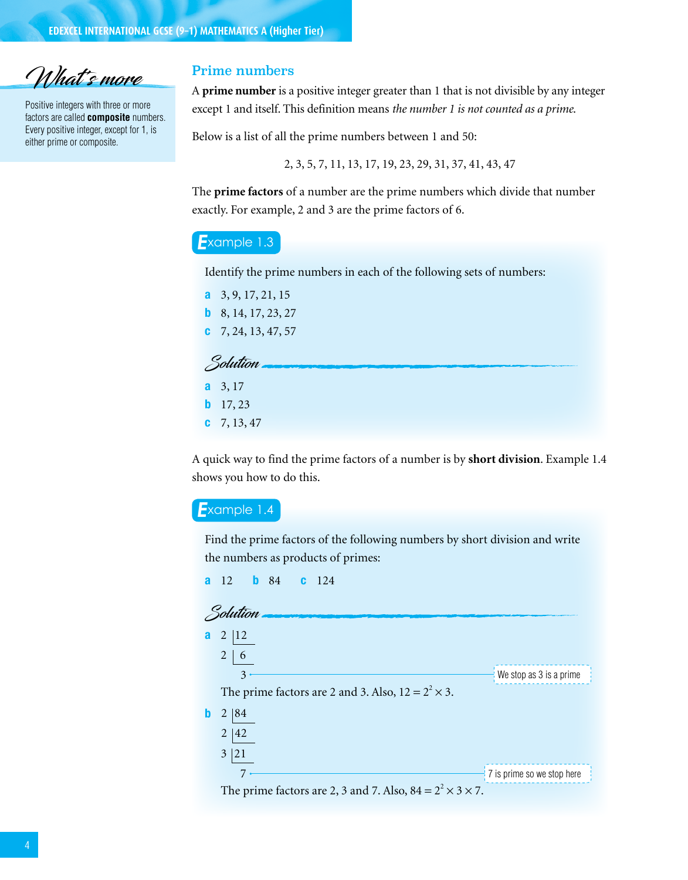What's more

Positive integers with three or more factors are called **composite** numbers. Every positive integer, except for 1, is either prime or composite.

### Prime numbers

A **prime number** is a positive integer greater than 1 that is not divisible by any integer except 1 and itself. This definition means *the number 1 is not counted as a prime*.

Below is a list of all the prime numbers between 1 and 50:

2, 3, 5, 7, 11, 13, 17, 19, 23, 29, 31, 37, 41, 43, 47

The **prime factors** of a number are the prime numbers which divide that number exactly. For example, 2 and 3 are the prime factors of 6.

#### *E*xample 1.3

Identify the prime numbers in each of the following sets of numbers:

| <b>a</b> $3, 9, 17, 21, 15$    |
|--------------------------------|
| <b>b</b> 8, 14, 17, 23, 27     |
| $\textbf{C}$ 7, 24, 13, 47, 57 |

| Solution         |
|------------------|
| <b>a</b> $3, 17$ |

- $b$  17, 23
- $c$  7, 13, 47

A quick way to find the prime factors of a number is by **short division**. Example 1.4 shows you how to do this.

#### *E*xample 1.4

Find the prime factors of the following numbers by short division and write the numbers as products of primes:

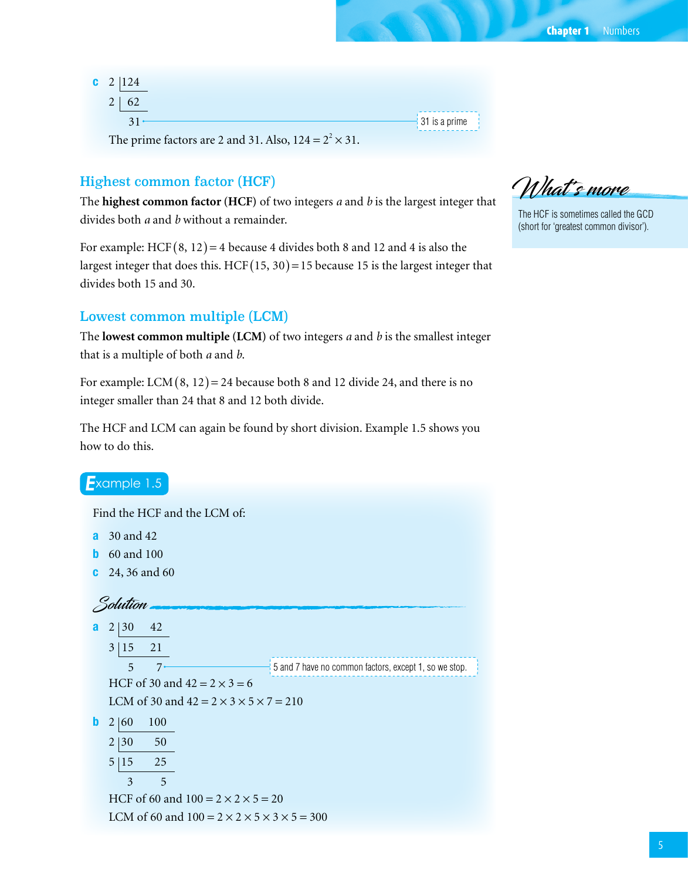| $c$ 2 124                                                     |
|---------------------------------------------------------------|
| $2 \mid 62$                                                   |
| $31 -$                                                        |
| The prime factors are 2 and 31. Also, $124 = 2^2 \times 31$ . |

# Highest common factor (HCF)

The **highest common factor (HCF)** of two integers *a* and *b* is the largest integer that divides both *a* and *b* without a remainder.

For example: HCF  $(8, 12) = 4$  because 4 divides both 8 and 12 and 4 is also the largest integer that does this. HCF  $(15, 30) = 15$  because 15 is the largest integer that divides both 15 and 30.

# Lowest common multiple (LCM)

The **lowest common multiple (LCM)** of two integers *a* and *b* is the smallest integer that is a multiple of both *a* and *b*.

For example: LCM  $(8, 12) = 24$  because both 8 and 12 divide 24, and there is no integer smaller than 24 that 8 and 12 both divide.

The HCF and LCM can again be found by short division. Example 1.5 shows you how to do this.

| $Example$ 1.5                                                                |
|------------------------------------------------------------------------------|
| Find the HCF and the LCM of:                                                 |
| 30 and 42<br>a                                                               |
| 60 and 100<br>h                                                              |
| 24, 36 and 60<br>C                                                           |
| Solution                                                                     |
| 42<br>2<br>130<br>a                                                          |
| 21<br>3 15                                                                   |
| 5 and 7 have no common factors, except 1, so we stop.<br>7 <sup>1</sup><br>5 |
| HCF of 30 and $42 = 2 \times 3 = 6$                                          |
| LCM of 30 and $42 = 2 \times 3 \times 5 \times 7 = 210$                      |
| 100<br>b<br>2 60                                                             |
| $\overline{2}$<br> 30<br>50                                                  |
| 5<br>25<br> 15                                                               |
| 5<br>3                                                                       |
| HCF of 60 and $100 = 2 \times 2 \times 5 = 20$                               |
| LCM of 60 and $100 = 2 \times 2 \times 5 \times 3 \times 5 = 300$            |

What's move

31 is a prime

The HCF is sometimes called the GCD (short for 'greatest common divisor').